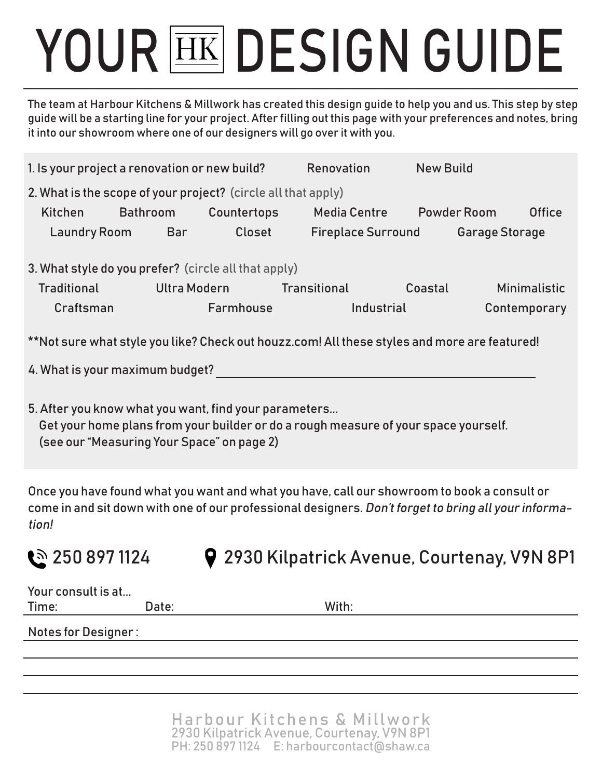# YOUR **EK DESIGN GUIDE**

The team at Harbour Kitchens & Millwork has created this design guide to help you and us. This step by step guide will be a starting line for your project. After filling out this page with your preferences and notes, bring it into our showroom where one of our designers will go over it with you.

| 1. Is your project a renovation or new build?                                                                                                                                              |                        |             | Renovation                | <b>New Build</b>                         |                     |  |  |  |
|--------------------------------------------------------------------------------------------------------------------------------------------------------------------------------------------|------------------------|-------------|---------------------------|------------------------------------------|---------------------|--|--|--|
| 2. What is the scope of your project? (circle all that apply)                                                                                                                              |                        |             |                           |                                          |                     |  |  |  |
| Kitchen                                                                                                                                                                                    | Bathroom               | Countertops | Media Centre Powder Room  |                                          | <b>Office</b>       |  |  |  |
|                                                                                                                                                                                            | Laundry Room Bar       | Closet      |                           | <b>Fireplace Surround Garage Storage</b> |                     |  |  |  |
| 3. What style do you prefer? (circle all that apply)                                                                                                                                       |                        |             |                           |                                          |                     |  |  |  |
| <b>Traditional</b>                                                                                                                                                                         |                        |             | Ultra Modern Transitional | Coastal                                  | <b>Minimalistic</b> |  |  |  |
|                                                                                                                                                                                            | Farmhouse<br>Craftsman |             | Industrial                |                                          | Contemporary        |  |  |  |
| **Not sure what style you like? Check out houzz.com! All these styles and more are featured!                                                                                               |                        |             |                           |                                          |                     |  |  |  |
| 4. What is your maximum budget? And the control of the control of the control of the control of the control of                                                                             |                        |             |                           |                                          |                     |  |  |  |
| 5. After you know what you want, find your parameters<br>Get your home plans from your builder or do a rough measure of your space yourself.<br>(see our "Measuring Your Space" on page 2) |                        |             |                           |                                          |                     |  |  |  |

Once you have found what you want and what you have, call our showroom to book a consult or come in and sit down with one of our professional designers. Don't forget to bring all your information!

**250 897 1124 9 2930 Kilpatrick Avenue, Courtenay, V9N 8P1** 

| Your consult is at         |       |       |  |  |  |
|----------------------------|-------|-------|--|--|--|
| Time:                      | Date: | With: |  |  |  |
| <b>Notes for Designer:</b> |       |       |  |  |  |
|                            |       |       |  |  |  |
|                            |       |       |  |  |  |